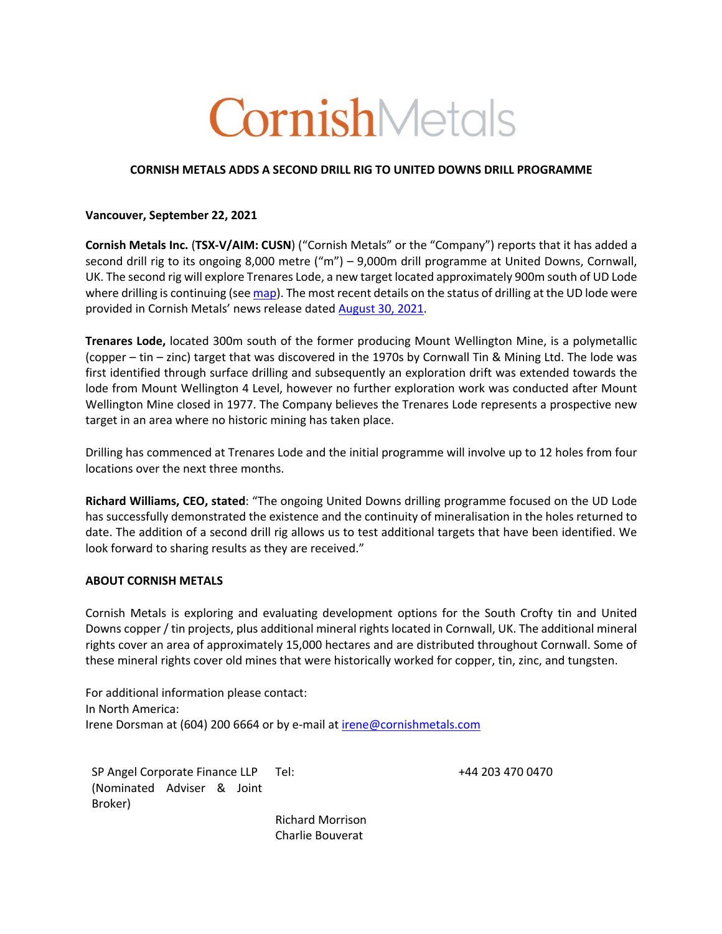# CornishMetals

## **CORNISH METALS ADDS A SECOND DRILL RIG TO UNITED DOWNS DRILL PROGRAMME**

### **Vancouver, September 22, 2021**

**Cornish Metals Inc.** (**TSX-V/AIM: CUSN**) ("Cornish Metals" or the "Company") reports that it has added a second drill rig to its ongoing 8,000 metre ("m") – 9,000m drill programme at United Downs, Cornwall, UK. The second rig will explore Trenares Lode, a new target located approximately 900m south of UD Lode where drilling is continuing (see map). The most recent details on the status of drilling at the UD lode were provided in Cornish Metals' news release dated August 30, 2021.

**Trenares Lode,** located 300m south of the former producing Mount Wellington Mine, is a polymetallic (copper – tin – zinc) target that was discovered in the 1970s by Cornwall Tin & Mining Ltd. The lode was first identified through surface drilling and subsequently an exploration drift was extended towards the lode from Mount Wellington 4 Level, however no further exploration work was conducted after Mount Wellington Mine closed in 1977. The Company believes the Trenares Lode represents a prospective new target in an area where no historic mining has taken place.

Drilling has commenced at Trenares Lode and the initial programme will involve up to 12 holes from four locations over the next three months.

**Richard Williams, CEO, stated**: "The ongoing United Downs drilling programme focused on the UD Lode has successfully demonstrated the existence and the continuity of mineralisation in the holes returned to date. The addition of a second drill rig allows us to test additional targets that have been identified. We look forward to sharing results as they are received."

## **ABOUT CORNISH METALS**

Cornish Metals is exploring and evaluating development options for the South Crofty tin and United Downs copper / tin projects, plus additional mineral rights located in Cornwall, UK. The additional mineral rights cover an area of approximately 15,000 hectares and are distributed throughout Cornwall. Some of these mineral rights cover old mines that were historically worked for copper, tin, zinc, and tungsten.

For additional information please contact: In North America: Irene Dorsman at (604) 200 6664 or by e-mail at irene@cornishmetals.com

SP Angel Corporate Finance LLP (Nominated Adviser & Joint Broker)

Tel: +44 203 470 0470

Richard Morrison Charlie Bouverat